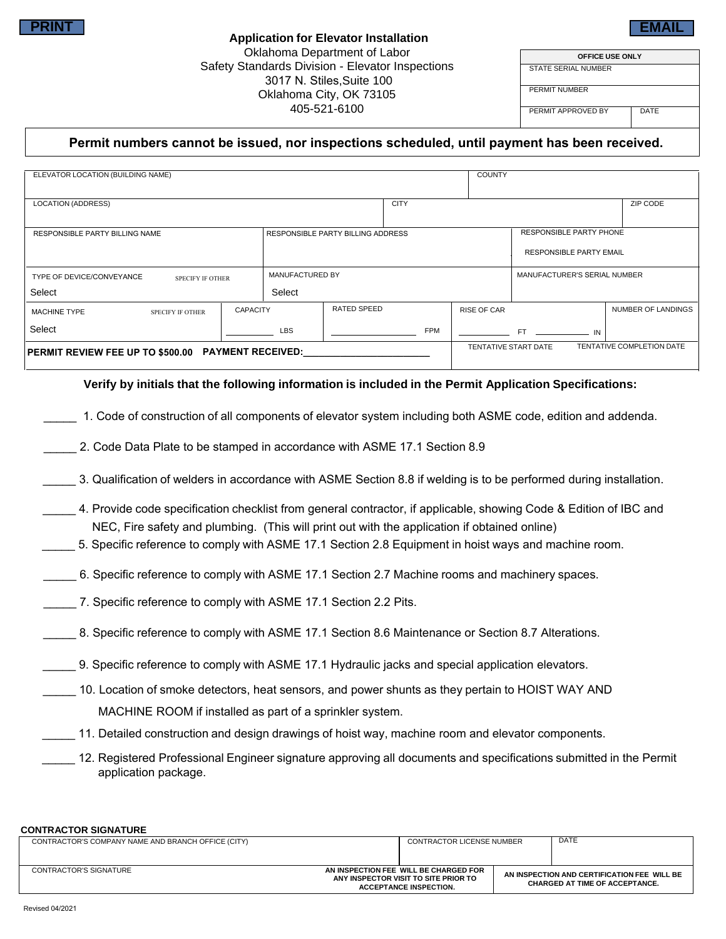## **Permit numbers cannot be issued, nor inspections scheduled, until payment has been received.**

| PRINT                                                                            |                 |                                          | <b>Application for Elevator Installation</b> |            |                    |                                                           |                                | EMAII                     |                                                                                              |
|----------------------------------------------------------------------------------|-----------------|------------------------------------------|----------------------------------------------|------------|--------------------|-----------------------------------------------------------|--------------------------------|---------------------------|----------------------------------------------------------------------------------------------|
| Oklahoma Department of Labor<br>Safety Standards Division - Elevator Inspections |                 |                                          |                                              |            |                    | OFFICE USE ONLY                                           |                                |                           |                                                                                              |
|                                                                                  |                 |                                          | <b>STATE SERIAL NUMBER</b>                   |            |                    |                                                           |                                |                           |                                                                                              |
| 3017 N. Stiles, Suite 100<br>Oklahoma City, OK 73105<br>405-521-6100             |                 |                                          |                                              |            |                    | <b>PERMIT NUMBER</b><br>PERMIT APPROVED BY<br><b>DATE</b> |                                |                           |                                                                                              |
|                                                                                  |                 |                                          |                                              |            |                    |                                                           |                                |                           | Permit numbers cannot be issued, nor inspections scheduled, until payment has been received. |
| ELEVATOR LOCATION (BUILDING NAME)                                                |                 |                                          | <b>COUNTY</b>                                |            |                    |                                                           |                                |                           |                                                                                              |
| <b>LOCATION (ADDRESS)</b>                                                        |                 |                                          | <b>CITY</b>                                  |            |                    |                                                           |                                | ZIP CODE                  |                                                                                              |
| <b>RESPONSIBLE PARTY BILLING NAME</b>                                            |                 | <b>RESPONSIBLE PARTY BILLING ADDRESS</b> |                                              |            |                    | <b>RESPONSIBLE PARTY PHONE</b>                            |                                |                           |                                                                                              |
|                                                                                  |                 |                                          |                                              |            |                    |                                                           | <b>RESPONSIBLE PARTY EMAIL</b> |                           |                                                                                              |
| TYPE OF DEVICE/CONVEYANCE<br><b>SPECIFY IF OTHER</b>                             |                 | MANUFACTURED BY                          |                                              |            |                    |                                                           | MANUFACTURER'S SERIAL NUMBER   |                           |                                                                                              |
| Select                                                                           |                 | Select                                   |                                              |            |                    |                                                           |                                |                           |                                                                                              |
| <b>MACHINE TYPE</b><br><b>SPECIFY IF OTHER</b>                                   | <b>CAPACITY</b> |                                          | RATED SPEED                                  |            | <b>RISE OF CAR</b> |                                                           |                                | NUMBER OF LANDINGS        |                                                                                              |
| Select                                                                           |                 | <b>LBS</b>                               |                                              | <b>FPM</b> |                    | FT.                                                       | IN                             |                           |                                                                                              |
| PERMIT REVIEW FEE UP TO \$500.00 PAYMENT RECEIVED:                               |                 |                                          |                                              |            |                    | TENTATIVE START DATE                                      |                                | TENTATIVE COMPLETION DATE |                                                                                              |

### **Verify by initials that the following information is included in the Permit Application Specifications:**

- \_\_\_\_\_ 1. Code of construction of all components of elevator system including both ASME code, edition and addenda.
- \_\_\_\_\_ 2. Code Data Plate to be stamped in accordance with ASME 17.1 Section 8.9
- \_\_\_\_\_ 3. Qualification of welders in accordance with ASME Section 8.8 if welding is to be performed during installation.
- \_\_\_\_\_ 4. Provide code specification checklist from general contractor, if applicable, showing Code & Edition of IBC and NEC, Fire safety and plumbing. (This will print out with the application if obtained online)
- \_\_\_\_\_ 5. Specific reference to comply with ASME 17.1 Section 2.8 Equipment in hoist ways and machine room.
- \_\_\_\_\_ 6. Specific reference to comply with ASME 17.1 Section 2.7 Machine rooms and machinery spaces.
- 7. Specific reference to comply with ASME 17.1 Section 2.2 Pits.
- 8. Specific reference to comply with ASME 17.1 Section 8.6 Maintenance or Section 8.7 Alterations.
- \_\_\_\_\_ 9. Specific reference to comply with ASME 17.1 Hydraulic jacks and special application elevators.
- \_\_\_\_\_ 10. Location of smoke detectors, heat sensors, and power shunts as they pertain to HOIST WAY AND MACHINE ROOM if installed as part of a sprinkler system.
	- \_\_\_\_\_ 11. Detailed construction and design drawings of hoist way, machine room and elevator components.
		- \_\_\_\_\_ 12. Registered Professional Engineer signature approving all documents and specifications submitted in the Permit application package.

#### **CONTRACTOR SIGNATURE**

| CONTRACTOR'S COMPANY NAME AND BRANCH OFFICE (CITY) | <b>CONTRACTOR LICENSE NUMBER</b>                                                                               |                                                                                      | <b>DATE</b> |
|----------------------------------------------------|----------------------------------------------------------------------------------------------------------------|--------------------------------------------------------------------------------------|-------------|
| CONTRACTOR'S SIGNATURE                             | AN INSPECTION FEE WILL BE CHARGED FOR<br>ANY INSPECTOR VISIT TO SITE PRIOR TO<br><b>ACCEPTANCE INSPECTION.</b> | AN INSPECTION AND CERTIFICATION FEE WILL BE<br><b>CHARGED AT TIME OF ACCEPTANCE.</b> |             |